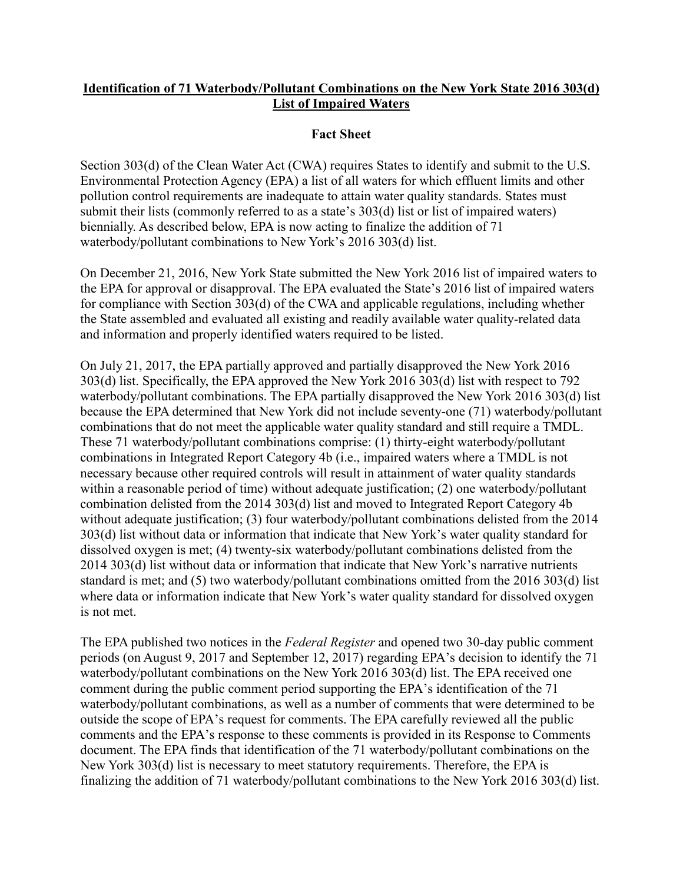## **Identification of 71 Waterbody/Pollutant Combinations on the New York State 2016 303(d) List of Impaired Waters**

## **Fact Sheet**

Section 303(d) of the Clean Water Act (CWA) requires States to identify and submit to the U.S. Environmental Protection Agency (EPA) a list of all waters for which effluent limits and other pollution control requirements are inadequate to attain water quality standards. States must submit their lists (commonly referred to as a state's 303(d) list or list of impaired waters) biennially. As described below, EPA is now acting to finalize the addition of 71 waterbody/pollutant combinations to New York's 2016 303(d) list.

On December 21, 2016, New York State submitted the New York 2016 list of impaired waters to the EPA for approval or disapproval. The EPA evaluated the State's 2016 list of impaired waters for compliance with Section 303(d) of the CWA and applicable regulations, including whether the State assembled and evaluated all existing and readily available water quality-related data and information and properly identified waters required to be listed.

On July 21, 2017, the EPA partially approved and partially disapproved the New York 2016 303(d) list. Specifically, the EPA approved the New York 2016 303(d) list with respect to 792 waterbody/pollutant combinations. The EPA partially disapproved the New York 2016 303(d) list because the EPA determined that New York did not include seventy-one (71) waterbody/pollutant combinations that do not meet the applicable water quality standard and still require a TMDL. These 71 waterbody/pollutant combinations comprise: (1) thirty-eight waterbody/pollutant combinations in Integrated Report Category 4b (i.e., impaired waters where a TMDL is not necessary because other required controls will result in attainment of water quality standards within a reasonable period of time) without adequate justification; (2) one waterbody/pollutant combination delisted from the 2014 303(d) list and moved to Integrated Report Category 4b without adequate justification; (3) four waterbody/pollutant combinations delisted from the 2014 303(d) list without data or information that indicate that New York's water quality standard for dissolved oxygen is met; (4) twenty-six waterbody/pollutant combinations delisted from the 2014 303(d) list without data or information that indicate that New York's narrative nutrients standard is met; and (5) two waterbody/pollutant combinations omitted from the 2016 303(d) list where data or information indicate that New York's water quality standard for dissolved oxygen is not met.

The EPA published two notices in the *Federal Register* and opened two 30-day public comment periods (on August 9, 2017 and September 12, 2017) regarding EPA's decision to identify the 71 waterbody/pollutant combinations on the New York 2016 303(d) list. The EPA received one comment during the public comment period supporting the EPA's identification of the 71 waterbody/pollutant combinations, as well as a number of comments that were determined to be outside the scope of EPA's request for comments. The EPA carefully reviewed all the public comments and the EPA's response to these comments is provided in its Response to Comments document. The EPA finds that identification of the 71 waterbody/pollutant combinations on the New York 303(d) list is necessary to meet statutory requirements. Therefore, the EPA is finalizing the addition of 71 waterbody/pollutant combinations to the New York 2016 303(d) list.